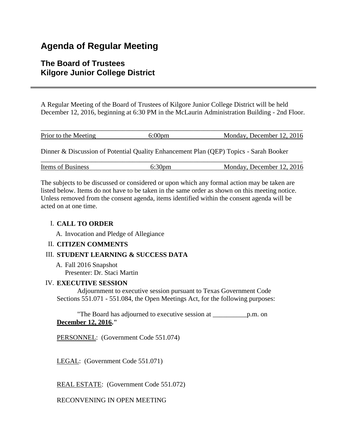# **Agenda of Regular Meeting**

## **The Board of Trustees Kilgore Junior College District**

A Regular Meeting of the Board of Trustees of Kilgore Junior College District will be held December 12, 2016, beginning at 6:30 PM in the McLaurin Administration Building - 2nd Floor.

| Prior to the Meeting | $6:00 \text{pm}$ | Monday, December 12, 2016                                                             |
|----------------------|------------------|---------------------------------------------------------------------------------------|
|                      |                  |                                                                                       |
|                      |                  |                                                                                       |
|                      |                  | Dinner & Discussion of Potential Quality Enhancement Plan (QEP) Topics - Sarah Booker |

| Items of Business | Monday, December 12, 2016 |
|-------------------|---------------------------|

The subjects to be discussed or considered or upon which any formal action may be taken are listed below. Items do not have to be taken in the same order as shown on this meeting notice. Unless removed from the consent agenda, items identified within the consent agenda will be acted on at one time.

## I. **CALL TO ORDER**

A. Invocation and Pledge of Allegiance

## II. **CITIZEN COMMENTS**

## III. **STUDENT LEARNING & SUCCESS DATA**

A. Fall 2016 Snapshot Presenter: Dr. Staci Martin

## IV. **EXECUTIVE SESSION**

 Adjournment to executive session pursuant to Texas Government Code Sections 551.071 - 551.084, the Open Meetings Act, for the following purposes:

 "The Board has adjourned to executive session at \_\_\_\_\_\_\_\_\_\_p.m. on **December 12, 2016."**

PERSONNEL: (Government Code 551.074)

LEGAL: (Government Code 551.071)

REAL ESTATE: (Government Code 551.072)

RECONVENING IN OPEN MEETING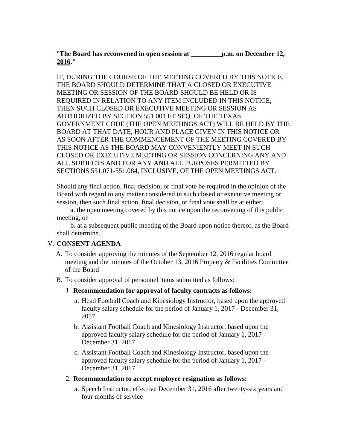"**The Board has reconvened in open session at \_\_\_\_\_\_\_\_\_p.m. on December 12, 2016."**

IF, DURING THE COURSE OF THE MEETING COVERED BY THIS NOTICE, THE BOARD SHOULD DETERMINE THAT A CLOSED OR EXECUTIVE MEETING OR SESSION OF THE BOARD SHOULD BE HELD OR IS REQUIRED IN RELATION TO ANY ITEM INCLUDED IN THIS NOTICE, THEN SUCH CLOSED OR EXECUTIVE MEETING OR SESSION AS AUTHORIZED BY SECTION 551.001 ET SEQ. OF THE TEXAS GOVERNMENT CODE (THE OPEN MEETINGS ACT) WILL BE HELD BY THE BOARD AT THAT DATE, HOUR AND PLACE GIVEN IN THIS NOTICE OR AS SOON AFTER THE COMMENCEMENT OF THE MEETING COVERED BY THIS NOTICE AS THE BOARD MAY CONVENIENTLY MEET IN SUCH CLOSED OR EXECUTIVE MEETING OR SESSION CONCERNING ANY AND ALL SUBJECTS AND FOR ANY AND ALL PURPOSES PERMITTED BY SECTIONS 551.071-551.084, INCLUSIVE, OF THE OPEN MEETINGS ACT.

Should any final action, final decision, or final vote be required in the opinion of the Board with regard to any matter considered in such closed or executive meeting or session, then such final action, final decision, or final vote shall be at either:

 a. the open meeting covered by this notice upon the reconvening of this public meeting, or

 b. at a subsequent public meeting of the Board upon notice thereof, as the Board shall determine.

#### V. **CONSENT AGENDA**

- A. To consider approving the minutes of the September 12, 2016 regular board meeting and the minutes of the October 13, 2016 Property & Facilities Committee of the Board
- B. To consider approval of personnel items submitted as follows:
	- 1. **Recommendation for approval of faculty contracts as follows:**
		- a. Head Football Coach and Kinesiology Instructor, based upon the approved faculty salary schedule for the period of January 1, 2017 - December 31, 2017
		- b. Assistant Football Coach and Kinesiology Instructor, based upon the approved faculty salary schedule for the period of January 1, 2017 - December 31, 2017
		- c. Assistant Football Coach and Kinesiology Instructor, based upon the approved faculty salary schedule for the period of January 1, 2017 - December 31, 2017
	- 2. **Recommendation to accept employee resignation as follows:**
		- a. Speech Instructor, effective December 31, 2016 after twenty-six years and four months of service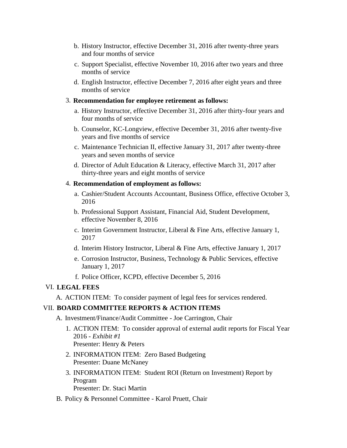- b. History Instructor, effective December 31, 2016 after twenty-three years and four months of service
- c. Support Specialist, effective November 10, 2016 after two years and three months of service
- d. English Instructor, effective December 7, 2016 after eight years and three months of service

#### 3. **Recommendation for employee retirement as follows:**

- a. History Instructor, effective December 31, 2016 after thirty-four years and four months of service
- b. Counselor, KC-Longview, effective December 31, 2016 after twenty-five years and five months of service
- c. Maintenance Technician II, effective January 31, 2017 after twenty-three years and seven months of service
- d. Director of Adult Education & Literacy, effective March 31, 2017 after thirty-three years and eight months of service

#### 4. **Recommendation of employment as follows:**

- a. Cashier/Student Accounts Accountant, Business Office, effective October 3, 2016
- b. Professional Support Assistant, Financial Aid, Student Development, effective November 8, 2016
- c. Interim Government Instructor, Liberal & Fine Arts, effective January 1, 2017
- d. Interim History Instructor, Liberal & Fine Arts, effective January 1, 2017
- e. Corrosion Instructor, Business, Technology & Public Services, effective January 1, 2017
- f. Police Officer, KCPD, effective December 5, 2016

#### VI. **LEGAL FEES**

A. ACTION ITEM: To consider payment of legal fees for services rendered.

#### VII. **BOARD COMMITTEE REPORTS & ACTION ITEMS**

A. Investment/Finance/Audit Committee - Joe Carrington, Chair

- 1. ACTION ITEM: To consider approval of external audit reports for Fiscal Year 2016 - *Exhibit #1* Presenter: Henry & Peters
- 2. INFORMATION ITEM: Zero Based Budgeting Presenter: Duane McNaney
- 3. INFORMATION ITEM: Student ROI (Return on Investment) Report by Program Presenter: Dr. Staci Martin
- B. Policy & Personnel Committee Karol Pruett, Chair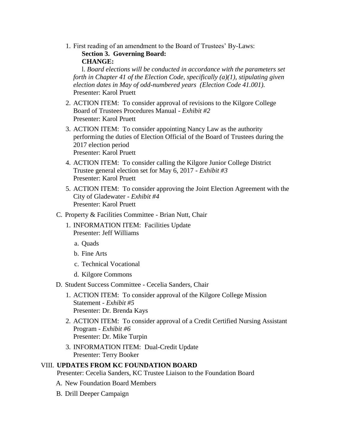1. First reading of an amendment to the Board of Trustees' By-Laws: **Section 3. Governing Board: CHANGE:**

 l. *Board elections will be conducted in accordance with the parameters set forth in Chapter 41 of the Election Code, specifically (a)(1), stipulating given election dates in May of odd-numbered years (Election Code 41.001).* Presenter: Karol Pruett

- 2. ACTION ITEM: To consider approval of revisions to the Kilgore College Board of Trustees Procedures Manual - *Exhibit #2* Presenter: Karol Pruett
- 3. ACTION ITEM: To consider appointing Nancy Law as the authority performing the duties of Election Official of the Board of Trustees during the 2017 election period Presenter: Karol Pruett
- 4. ACTION ITEM: To consider calling the Kilgore Junior College District Trustee general election set for May 6, 2017 - *Exhibit #3* Presenter: Karol Pruett
- 5. ACTION ITEM: To consider approving the Joint Election Agreement with the City of Gladewater - *Exhibit #4* Presenter: Karol Pruett
- C. Property & Facilities Committee Brian Nutt, Chair
	- 1. INFORMATION ITEM: Facilities Update Presenter: Jeff Williams
		- a. Quads
		- b. Fine Arts
		- c. Technical Vocational
		- d. Kilgore Commons
- D. Student Success Committee Cecelia Sanders, Chair
	- 1. ACTION ITEM: To consider approval of the Kilgore College Mission Statement - *Exhibit #5* Presenter: Dr. Brenda Kays
	- 2. ACTION ITEM: To consider approval of a Credit Certified Nursing Assistant Program - *Exhibit #6* Presenter: Dr. Mike Turpin
	- 3. INFORMATION ITEM: Dual-Credit Update Presenter: Terry Booker

#### VIII. **UPDATES FROM KC FOUNDATION BOARD**

Presenter: Cecelia Sanders, KC Trustee Liaison to the Foundation Board

- A. New Foundation Board Members
- B. Drill Deeper Campaign